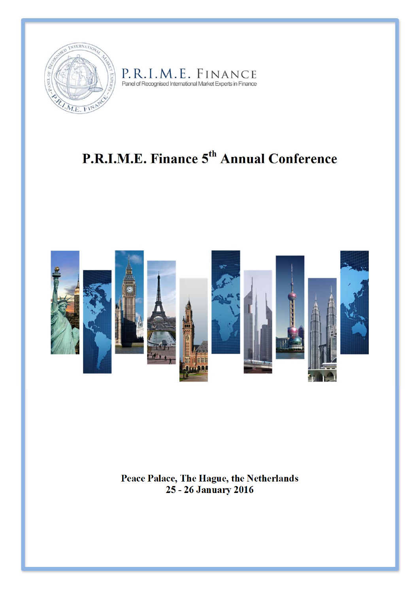

# P. R. I . M. E. FINANCE<br>Panel of Recognised International Market Experts in Finance

## **P.R.I.M.E. Finance 5th Annual Conference**



**Peace Palace, The Hague, the Netherlands 25 - 26 January 2016**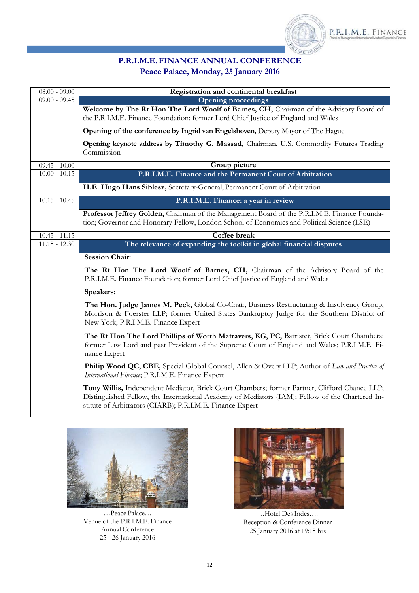

#### **P.R.I.M.E. FINANCE ANNUAL CONFERENCE Peace Palace, Monday, 25 January 2016**

| $08.00 - 09.00$ | Registration and continental breakfast                                                                                                                                                                                                                        |
|-----------------|---------------------------------------------------------------------------------------------------------------------------------------------------------------------------------------------------------------------------------------------------------------|
| $09.00 - 09.45$ | <b>Opening proceedings</b>                                                                                                                                                                                                                                    |
|                 | Welcome by The Rt Hon The Lord Woolf of Barnes, CH, Chairman of the Advisory Board of<br>the P.R.I.M.E. Finance Foundation; former Lord Chief Justice of England and Wales                                                                                    |
|                 | Opening of the conference by Ingrid van Engelshoven, Deputy Mayor of The Hague                                                                                                                                                                                |
|                 | Opening keynote address by Timothy G. Massad, Chairman, U.S. Commodity Futures Trading<br>Commission                                                                                                                                                          |
| $09.45 - 10.00$ | Group picture                                                                                                                                                                                                                                                 |
| $10.00 - 10.15$ | P.R.I.M.E. Finance and the Permanent Court of Arbitration                                                                                                                                                                                                     |
|                 | H.E. Hugo Hans Siblesz, Secretary-General, Permanent Court of Arbitration                                                                                                                                                                                     |
| $10.15 - 10.45$ | P.R.I.M.E. Finance: a year in review                                                                                                                                                                                                                          |
|                 | Professor Jeffrey Golden, Chairman of the Management Board of the P.R.I.M.E. Finance Founda-<br>tion; Governor and Honorary Fellow, London School of Economics and Political Science (LSE)                                                                    |
| $10.45 - 11.15$ | <b>Coffee break</b>                                                                                                                                                                                                                                           |
| $11.15 - 12.30$ | The relevance of expanding the toolkit in global financial disputes                                                                                                                                                                                           |
|                 | <b>Session Chair:</b>                                                                                                                                                                                                                                         |
|                 | The Rt Hon The Lord Woolf of Barnes, CH, Chairman of the Advisory Board of the<br>P.R.I.M.E. Finance Foundation; former Lord Chief Justice of England and Wales                                                                                               |
|                 | Speakers:                                                                                                                                                                                                                                                     |
|                 | The Hon. Judge James M. Peck, Global Co-Chair, Business Restructuring & Insolvency Group,<br>Morrison & Foerster LLP; former United States Bankruptcy Judge for the Southern District of<br>New York; P.R.I.M.E. Finance Expert                               |
|                 | The Rt Hon The Lord Phillips of Worth Matravers, KG, PC, Barrister, Brick Court Chambers;<br>former Law Lord and past President of the Supreme Court of England and Wales; P.R.I.M.E. Fi-<br>nance Expert                                                     |
|                 | Philip Wood QC, CBE, Special Global Counsel, Allen & Overy LLP; Author of Law and Practice of<br>International Finance; P.R.I.M.E. Finance Expert                                                                                                             |
|                 | Tony Willis, Independent Mediator, Brick Court Chambers; former Partner, Clifford Chance LLP;<br>Distinguished Fellow, the International Academy of Mediators (IAM); Fellow of the Chartered In-<br>stitute of Arbitrators (CIARB); P.R.I.M.E. Finance Expert |



…Peace Palace… Venue of the P.R.I.M.E. Finance Annual Conference 25 - 26 January 2016



…Hotel Des Indes…. Reception & Conference Dinner 25 January 2016 at 19:15 hrs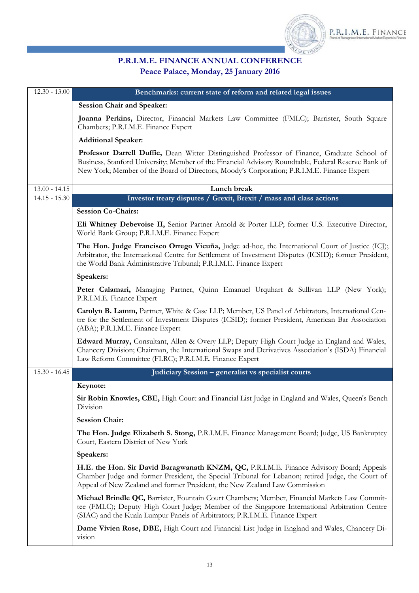

### **P.R.I.M.E. FINANCE ANNUAL CONFERENCE Peace Palace, Monday, 25 January 2016**

| $12.30 - 13.00$ | Benchmarks: current state of reform and related legal issues                                                                                                                                                                                                                                      |
|-----------------|---------------------------------------------------------------------------------------------------------------------------------------------------------------------------------------------------------------------------------------------------------------------------------------------------|
|                 | <b>Session Chair and Speaker:</b>                                                                                                                                                                                                                                                                 |
|                 | Joanna Perkins, Director, Financial Markets Law Committee (FMLC); Barrister, South Square<br>Chambers; P.R.I.M.E. Finance Expert                                                                                                                                                                  |
|                 | <b>Additional Speaker:</b>                                                                                                                                                                                                                                                                        |
|                 | Professor Darrell Duffie, Dean Witter Distinguished Professor of Finance, Graduate School of<br>Business, Stanford University; Member of the Financial Advisory Roundtable, Federal Reserve Bank of<br>New York; Member of the Board of Directors, Moody's Corporation; P.R.I.M.E. Finance Expert |
| $13.00 - 14.15$ | Lunch break                                                                                                                                                                                                                                                                                       |
| $14.15 - 15.30$ | Investor treaty disputes / Grexit, Brexit / mass and class actions                                                                                                                                                                                                                                |
|                 | <b>Session Co-Chairs:</b>                                                                                                                                                                                                                                                                         |
|                 | Eli Whitney Debevoise II, Senior Partner Arnold & Porter LLP; former U.S. Executive Director,<br>World Bank Group; P.R.I.M.E. Finance Expert                                                                                                                                                      |
|                 | The Hon. Judge Francisco Orrego Vicuña, Judge ad-hoc, the International Court of Justice (ICJ);<br>Arbitrator, the International Centre for Settlement of Investment Disputes (ICSID); former President,<br>the World Bank Administrative Tribunal; P.R.I.M.E. Finance Expert                     |
|                 | Speakers:                                                                                                                                                                                                                                                                                         |
|                 | Peter Calamari, Managing Partner, Quinn Emanuel Urquhart & Sullivan LLP (New York);<br>P.R.I.M.E. Finance Expert                                                                                                                                                                                  |
|                 | Carolyn B. Lamm, Partner, White & Case LLP; Member, US Panel of Arbitrators, International Cen-<br>tre for the Settlement of Investment Disputes (ICSID); former President, American Bar Association<br>(ABA); P.R.I.M.E. Finance Expert                                                          |
|                 | Edward Murray, Consultant, Allen & Overy LLP; Deputy High Court Judge in England and Wales,<br>Chancery Division; Chairman, the International Swaps and Derivatives Association's (ISDA) Financial<br>Law Reform Committee (FLRC); P.R.I.M.E. Finance Expert                                      |
| $15.30 - 16.45$ | Judiciary Session - generalist vs specialist courts                                                                                                                                                                                                                                               |
|                 | Keynote:                                                                                                                                                                                                                                                                                          |
|                 | Sir Robin Knowles, CBE, High Court and Financial List Judge in England and Wales, Queen's Bench<br>Division                                                                                                                                                                                       |
|                 | <b>Session Chair:</b>                                                                                                                                                                                                                                                                             |
|                 | The Hon. Judge Elizabeth S. Stong, P.R.I.M.E. Finance Management Board; Judge, US Bankruptcy<br>Court, Eastern District of New York                                                                                                                                                               |
|                 | Speakers:                                                                                                                                                                                                                                                                                         |
|                 | H.E. the Hon. Sir David Baragwanath KNZM, QC, P.R.I.M.E. Finance Advisory Board; Appeals<br>Chamber Judge and former President, the Special Tribunal for Lebanon; retired Judge, the Court of<br>Appeal of New Zealand and former President, the New Zealand Law Commission                       |
|                 | Michael Brindle QC, Barrister, Fountain Court Chambers; Member, Financial Markets Law Commit-<br>tee (FMLC); Deputy High Court Judge; Member of the Singapore International Arbitration Centre<br>(SIAC) and the Kuala Lumpur Panels of Arbitrators; P.R.I.M.E. Finance Expert                    |
|                 | Dame Vivien Rose, DBE, High Court and Financial List Judge in England and Wales, Chancery Di-<br>vision                                                                                                                                                                                           |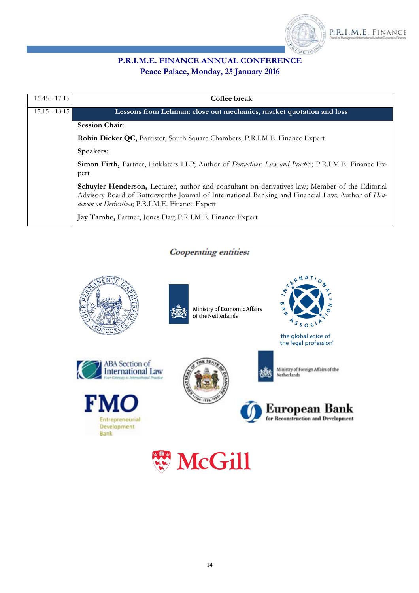

#### **P.R.I.M.E. FINANCE ANNUAL CONFERENCE Peace Palace, Monday, 25 January 2016**

| $16.45 - 17.15$ | Coffee break                                                                                                                                                                                                                                             |
|-----------------|----------------------------------------------------------------------------------------------------------------------------------------------------------------------------------------------------------------------------------------------------------|
| $17.15 - 18.15$ | Lessons from Lehman: close out mechanics, market quotation and loss                                                                                                                                                                                      |
|                 | <b>Session Chair:</b>                                                                                                                                                                                                                                    |
|                 | Robin Dicker QC, Barrister, South Square Chambers; P.R.I.M.E. Finance Expert                                                                                                                                                                             |
|                 | Speakers:                                                                                                                                                                                                                                                |
|                 | Simon Firth, Partner, Linklaters LLP; Author of <i>Derivatives: Law and Practice</i> ; P.R.I.M.E. Finance Ex-<br>pert                                                                                                                                    |
|                 | Schuyler Henderson, Lecturer, author and consultant on derivatives law; Member of the Editorial<br>Advisory Board of Butterworths Journal of International Banking and Financial Law; Author of Hen-<br>derson on Derivatives, P.R.I.M.E. Finance Expert |
|                 | Jay Tambe, Partner, Jones Day; P.R.I.M.E. Finance Expert                                                                                                                                                                                                 |

#### Cooperating entities:





Ministry of Economic Affairs of the Netherlands



the global voice of the legal profession'









Ministry of Foreign Affairs of the<br>Netherlands



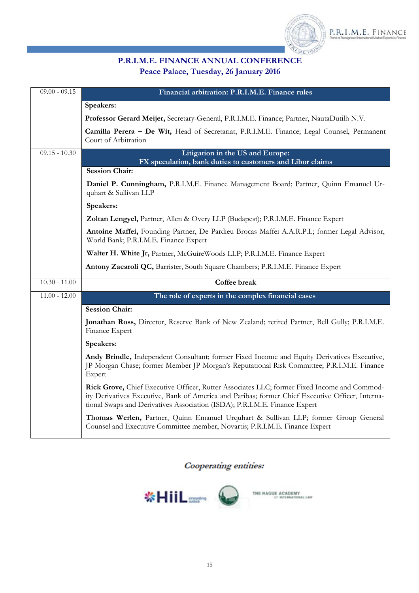

#### **P.R.I.M.E. FINANCE ANNUAL CONFERENCE Peace Palace, Tuesday, 26 January 2016**

| $09.00 - 09.15$ | Financial arbitration: P.R.I.M.E. Finance rules                                                                                                                                                                                                                               |
|-----------------|-------------------------------------------------------------------------------------------------------------------------------------------------------------------------------------------------------------------------------------------------------------------------------|
|                 | Speakers:                                                                                                                                                                                                                                                                     |
|                 | Professor Gerard Meijer, Secretary-General, P.R.I.M.E. Finance; Partner, NautaDutilh N.V.                                                                                                                                                                                     |
|                 | Camilla Perera - De Wit, Head of Secretariat, P.R.I.M.E. Finance; Legal Counsel, Permanent<br>Court of Arbitration                                                                                                                                                            |
| $09.15 - 10.30$ | Litigation in the US and Europe:                                                                                                                                                                                                                                              |
|                 | FX speculation, bank duties to customers and Libor claims<br><b>Session Chair:</b>                                                                                                                                                                                            |
|                 | Daniel P. Cunningham, P.R.I.M.E. Finance Management Board; Partner, Quinn Emanuel Ur-<br>quhart & Sullivan LLP                                                                                                                                                                |
|                 | Speakers:                                                                                                                                                                                                                                                                     |
|                 | Zoltan Lengyel, Partner, Allen & Overy LLP (Budapest); P.R.I.M.E. Finance Expert                                                                                                                                                                                              |
|                 | Antoine Maffei, Founding Partner, De Pardieu Brocas Maffei A.A.R.P.I.; former Legal Advisor,<br>World Bank; P.R.I.M.E. Finance Expert                                                                                                                                         |
|                 | Walter H. White Jr, Partner, McGuireWoods LLP; P.R.I.M.E. Finance Expert                                                                                                                                                                                                      |
|                 | Antony Zacaroli QC, Barrister, South Square Chambers; P.R.I.M.E. Finance Expert                                                                                                                                                                                               |
| $10.30 - 11.00$ | Coffee break                                                                                                                                                                                                                                                                  |
| $11.00 - 12.00$ | The role of experts in the complex financial cases                                                                                                                                                                                                                            |
|                 | <b>Session Chair:</b>                                                                                                                                                                                                                                                         |
|                 | Jonathan Ross, Director, Reserve Bank of New Zealand; retired Partner, Bell Gully; P.R.I.M.E.<br>Finance Expert                                                                                                                                                               |
|                 | Speakers:                                                                                                                                                                                                                                                                     |
|                 | Andy Brindle, Independent Consultant; former Fixed Income and Equity Derivatives Executive,<br>JP Morgan Chase; former Member JP Morgan's Reputational Risk Committee; P.R.I.M.E. Finance<br>Expert                                                                           |
|                 | Rick Grove, Chief Executive Officer, Rutter Associates LLC; former Fixed Income and Commod-<br>ity Derivatives Executive, Bank of America and Paribas; former Chief Executive Officer, Interna-<br>tional Swaps and Derivatives Association (ISDA); P.R.I.M.E. Finance Expert |
|                 | Thomas Werlen, Partner, Quinn Emanuel Urquhart & Sullivan LLP; former Group General<br>Counsel and Executive Committee member, Novartis; P.R.I.M.E. Finance Expert                                                                                                            |

Cooperating entities:

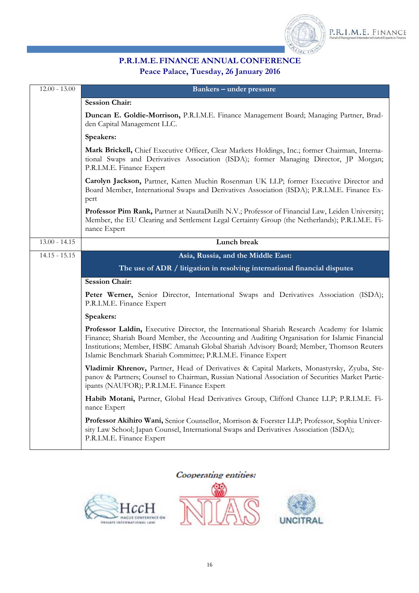

#### **P.R.I.M.E. FINANCE ANNUAL CONFERENCE Peace Palace, Tuesday, 26 January 2016**

| $12.00 - 13.00$ | <b>Bankers - under pressure</b>                                                                                                                                                                                                                                                                                                                             |
|-----------------|-------------------------------------------------------------------------------------------------------------------------------------------------------------------------------------------------------------------------------------------------------------------------------------------------------------------------------------------------------------|
|                 | <b>Session Chair:</b>                                                                                                                                                                                                                                                                                                                                       |
|                 | Duncan E. Goldie-Morrison, P.R.I.M.E. Finance Management Board; Managing Partner, Brad-<br>den Capital Management LLC.                                                                                                                                                                                                                                      |
|                 | Speakers:                                                                                                                                                                                                                                                                                                                                                   |
|                 | Mark Brickell, Chief Executive Officer, Clear Markets Holdings, Inc.; former Chairman, Interna-<br>tional Swaps and Derivatives Association (ISDA); former Managing Director, JP Morgan;<br>P.R.I.M.E. Finance Expert                                                                                                                                       |
|                 | Carolyn Jackson, Partner, Katten Muchin Rosenman UK LLP; former Executive Director and<br>Board Member, International Swaps and Derivatives Association (ISDA); P.R.I.M.E. Finance Ex-<br>pert                                                                                                                                                              |
|                 | Professor Pim Rank, Partner at NautaDutilh N.V.; Professor of Financial Law, Leiden University;<br>Member, the EU Clearing and Settlement Legal Certainty Group (the Netherlands); P.R.I.M.E. Fi-<br>nance Expert                                                                                                                                           |
| $13.00 - 14.15$ | Lunch break                                                                                                                                                                                                                                                                                                                                                 |
| $14.15 - 15.15$ | Asia, Russia, and the Middle East:                                                                                                                                                                                                                                                                                                                          |
|                 | The use of ADR / litigation in resolving international financial disputes                                                                                                                                                                                                                                                                                   |
|                 | <b>Session Chair:</b>                                                                                                                                                                                                                                                                                                                                       |
|                 | Peter Werner, Senior Director, International Swaps and Derivatives Association (ISDA);<br>P.R.I.M.E. Finance Expert                                                                                                                                                                                                                                         |
|                 | Speakers:                                                                                                                                                                                                                                                                                                                                                   |
|                 | Professor Laldin, Executive Director, the International Shariah Research Academy for Islamic<br>Finance; Shariah Board Member, the Accounting and Auditing Organisation for Islamic Financial<br>Institutions; Member, HSBC Amanah Global Shariah Advisory Board; Member, Thomson Reuters<br>Islamic Benchmark Shariah Committee; P.R.I.M.E. Finance Expert |
|                 | Vladimir Khrenov, Partner, Head of Derivatives & Capital Markets, Monastyrsky, Zyuba, Ste-<br>panov & Partners; Counsel to Chairman, Russian National Association of Securities Market Partic-<br>ipants (NAUFOR); P.R.I.M.E. Finance Expert                                                                                                                |
|                 | Habib Motani, Partner, Global Head Derivatives Group, Clifford Chance LLP; P.R.I.M.E. Fi-<br>nance Expert                                                                                                                                                                                                                                                   |
|                 | Professor Akihiro Wani, Senior Counsellor, Morrison & Foerster LLP; Professor, Sophia Univer-<br>sity Law School; Japan Counsel, International Swaps and Derivatives Association (ISDA);<br>P.R.I.M.E. Finance Expert                                                                                                                                       |